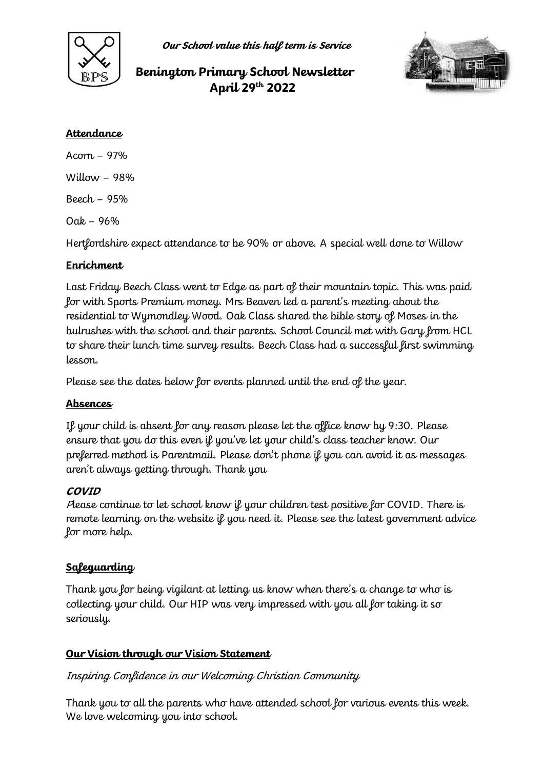

**Our School value this half term is Service**

# **Benington Primary School Newsletter April 29th 2022**



#### **Attendance**

Acorn – 97% Willow  $-98%$ Beech – 95% Oak – 96%

Hertfordshire expect attendance to be 90% or above. A special well done to Willow

### **Enrichment**

Last Friday Beech Class went to Edge as part of their mountain topic. This was paid for with Sports Premium money. Mrs Beaven led a parent's meeting about the residential to Wymondley Wood. Oak Class shared the bible story of Moses in the bulrushes with the school and their parents. School Council met with Gary from HCL to share their lunch time survey results. Beech Class had a successful first swimming lesson.

Please see the dates below for events planned until the end of the year.

### **Absences**

If your child is absent for any reason please let the office know by 9:30. Please ensure that you do this even if you've let your child's class teacher know. Our preferred method is Parentmail. Please don't phone if you can avoid it as messages aren't always getting through. Thank you

### **COVID**

<sup>P</sup>lease continue to let school know if your children test positive for COVID. There is remote learning on the website if you need it. Please see the latest government advice for more help.

## **Safeguarding**

Thank you for being vigilant at letting us know when there's a change to who is collecting your child. Our HIP was very impressed with you all for taking it so seriously.

### **Our Vision through our Vision Statement**

### Inspiring Confidence in our Welcoming Christian Community

Thank you to all the parents who have attended school for various events this week. We love welcoming you into school.